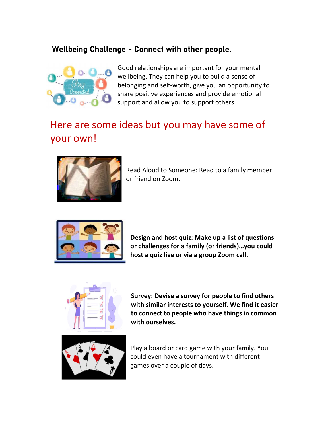## Wellbeing Challenge - Connect with other people.



Good relationships are important for your mental wellbeing. They can help you to build a sense of belonging and self-worth, give you an opportunity to share positive experiences and provide emotional support and allow you to support others.

## Here are some ideas but you may have some of your own!



Read Aloud to Someone: Read to a family member or friend on Zoom.



Design and host quiz: Make up a list of questions or challenges for a family (or friends)…you could host a quiz live or via a group Zoom call.



Survey: Devise a survey for people to find others with similar interests to yourself. We find it easier to connect to people who have things in common with ourselves.



Play a board or card game with your family. You could even have a tournament with different games over a couple of days.